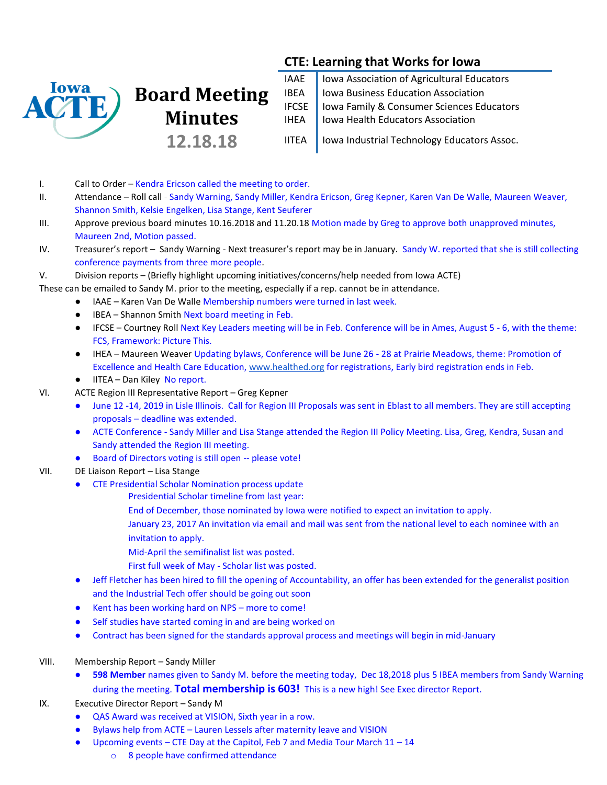

# **Board Meeting Minutes 12.18.18**

IAAE | Iowa Association of Agricultural Educators IBEA | Iowa Business Education Association IFCSE | Iowa Family & Consumer Sciences Educators IHEA | Iowa Health Educators Association

**CTE: Learning that Works for Iowa**

IITEA | Iowa Industrial Technology Educators Assoc.

- I. Call to Order Kendra Ericson called the meeting to order.
- II. Attendance Roll call Sandy Warning, Sandy Miller, Kendra Ericson, Greg Kepner, Karen Van De Walle, Maureen Weaver, Shannon Smith, Kelsie Engelken, Lisa Stange, Kent Seuferer
- III. Approve previous board minutes 10.16.2018 and 11.20.18 Motion made by Greg to approve both unapproved minutes, Maureen 2nd, Motion passed.
- IV. Treasurer's report Sandy Warning Next treasurer's report may be in January. Sandy W. reported that she is still collecting conference payments from three more people.
- V. Division reports (Briefly highlight upcoming initiatives/concerns/help needed from Iowa ACTE)

These can be emailed to Sandy M. prior to the meeting, especially if a rep. cannot be in attendance.

- IAAE Karen Van De Walle Membership numbers were turned in last week.
- IBEA Shannon Smith Next board meeting in Feb.
- IFCSE Courtney Roll Next Key Leaders meeting will be in Feb. Conference will be in Ames, August 5 6, with the theme: FCS, Framework: Picture This.
- IHEA Maureen Weaver Updating bylaws, Conference will be June 26 28 at Prairie Meadows, theme: Promotion of Excellence and Health Care Education, [www.healthed.org](http://www.healthed.org/) for registrations, Early bird registration ends in Feb.
- IITEA Dan Kiley No report.
- VI. ACTE Region III Representative Report Greg Kepner
	- June 12 -14, 2019 in Lisle Illinois. Call for Region III Proposals was sent in Eblast to all members. They are still accepting proposals – deadline was extended.
	- ACTE Conference Sandy Miller and Lisa Stange attended the Region III Policy Meeting. Lisa, Greg, Kendra, Susan and Sandy attended the Region III meeting.
	- Board of Directors voting is still open -- please vote!
- VII. DE Liaison Report Lisa Stange
	- CTE Presidential Scholar Nomination process update
		- Presidential Scholar timeline from last year:
			- End of December, those nominated by Iowa were notified to expect an invitation to apply.
			- January 23, 2017 An invitation via email and mail was sent from the national level to each nominee with an invitation to apply.
			- Mid-April the semifinalist list was posted.
			- First full week of May Scholar list was posted.
	- Jeff Fletcher has been hired to fill the opening of Accountability, an offer has been extended for the generalist position and the Industrial Tech offer should be going out soon
	- Kent has been working hard on NPS more to come!
	- Self studies have started coming in and are being worked on
	- Contract has been signed for the standards approval process and meetings will begin in mid-January
- VIII. Membership Report Sandy Miller
	- **598 Member** names given to Sandy M. before the meeting today, Dec 18,2018 plus 5 IBEA members from Sandy Warning during the meeting. **Total membership is 603!** This is a new high! See Exec director Report.
- IX. Executive Director Report Sandy M
	- QAS Award was received at VISION, Sixth year in a row.
	- Bylaws help from ACTE Lauren Lessels after maternity leave and VISION
	- Upcoming events CTE Day at the Capitol, Feb 7 and Media Tour March  $11 14$ 
		- o 8 people have confirmed attendance